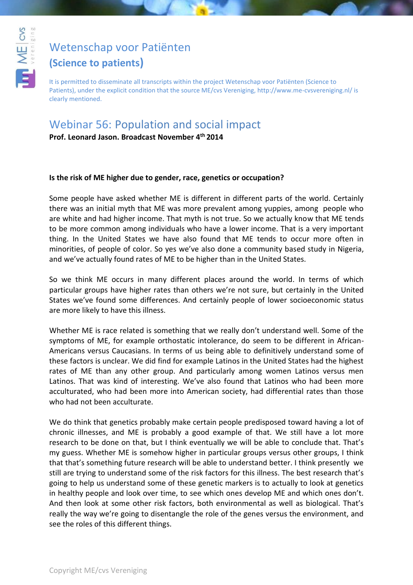

# [Wetenschap voor Patiënten](http://www.youtube.com/user/WetenschapvMEcvsVer)

## **(Science to patients)**

It is permitted to disseminate all transcripts within the project Wetenschap voor Patiënten (Science to Patients), under the explicit condition that the source ME/cvs Vereniging, http://www.me-cvsvereniging.nl/ is clearly mentioned.

## Webinar 56: Population and social impact

**Prof. Leonard Jason. Broadcast November 4th 2014**

#### **Is the risk of ME higher due to gender, race, genetics or occupation?**

Some people have asked whether ME is different in different parts of the world. Certainly there was an initial myth that ME was more prevalent among yuppies, among people who are white and had higher income. That myth is not true. So we actually know that ME tends to be more common among individuals who have a lower income. That is a very important thing. In the United States we have also found that ME tends to occur more often in minorities, of people of color. So yes we've also done a community based study in Nigeria, and we've actually found rates of ME to be higher than in the United States.

So we think ME occurs in many different places around the world. In terms of which particular groups have higher rates than others we're not sure, but certainly in the United States we've found some differences. And certainly people of lower socioeconomic status are more likely to have this illness.

Whether ME is race related is something that we really don't understand well. Some of the symptoms of ME, for example orthostatic intolerance, do seem to be different in African-Americans versus Caucasians. In terms of us being able to definitively understand some of these factors is unclear. We did find for example Latinos in the United States had the highest rates of ME than any other group. And particularly among women Latinos versus men Latinos. That was kind of interesting. We've also found that Latinos who had been more acculturated, who had been more into American society, had differential rates than those who had not been acculturate.

We do think that genetics probably make certain people predisposed toward having a lot of chronic illnesses, and ME is probably a good example of that. We still have a lot more research to be done on that, but I think eventually we will be able to conclude that. That's my guess. Whether ME is somehow higher in particular groups versus other groups, I think that that's something future research will be able to understand better. I think presently we still are trying to understand some of the risk factors for this illness. The best research that's going to help us understand some of these genetic markers is to actually to look at genetics in healthy people and look over time, to see which ones develop ME and which ones don't. And then look at some other risk factors, both environmental as well as biological. That's really the way we're going to disentangle the role of the genes versus the environment, and see the roles of this different things.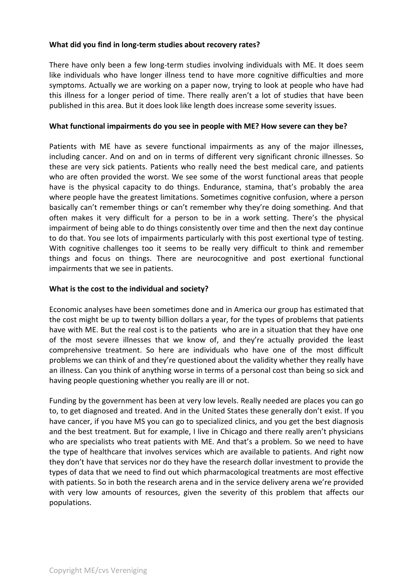#### **What did you find in long-term studies about recovery rates?**

There have only been a few long-term studies involving individuals with ME. It does seem like individuals who have longer illness tend to have more cognitive difficulties and more symptoms. Actually we are working on a paper now, trying to look at people who have had this illness for a longer period of time. There really aren't a lot of studies that have been published in this area. But it does look like length does increase some severity issues.

#### **What functional impairments do you see in people with ME? How severe can they be?**

Patients with ME have as severe functional impairments as any of the major illnesses, including cancer. And on and on in terms of different very significant chronic illnesses. So these are very sick patients. Patients who really need the best medical care, and patients who are often provided the worst. We see some of the worst functional areas that people have is the physical capacity to do things. Endurance, stamina, that's probably the area where people have the greatest limitations. Sometimes cognitive confusion, where a person basically can't remember things or can't remember why they're doing something. And that often makes it very difficult for a person to be in a work setting. There's the physical impairment of being able to do things consistently over time and then the next day continue to do that. You see lots of impairments particularly with this post exertional type of testing. With cognitive challenges too it seems to be really very difficult to think and remember things and focus on things. There are neurocognitive and post exertional functional impairments that we see in patients.

#### **What is the cost to the individual and society?**

Economic analyses have been sometimes done and in America our group has estimated that the cost might be up to twenty billion dollars a year, for the types of problems that patients have with ME. But the real cost is to the patients who are in a situation that they have one of the most severe illnesses that we know of, and they're actually provided the least comprehensive treatment. So here are individuals who have one of the most difficult problems we can think of and they're questioned about the validity whether they really have an illness. Can you think of anything worse in terms of a personal cost than being so sick and having people questioning whether you really are ill or not.

Funding by the government has been at very low levels. Really needed are places you can go to, to get diagnosed and treated. And in the United States these generally don't exist. If you have cancer, if you have MS you can go to specialized clinics, and you get the best diagnosis and the best treatment. But for example, I live in Chicago and there really aren't physicians who are specialists who treat patients with ME. And that's a problem. So we need to have the type of healthcare that involves services which are available to patients. And right now they don't have that services nor do they have the research dollar investment to provide the types of data that we need to find out which pharmacological treatments are most effective with patients. So in both the research arena and in the service delivery arena we're provided with very low amounts of resources, given the severity of this problem that affects our populations.